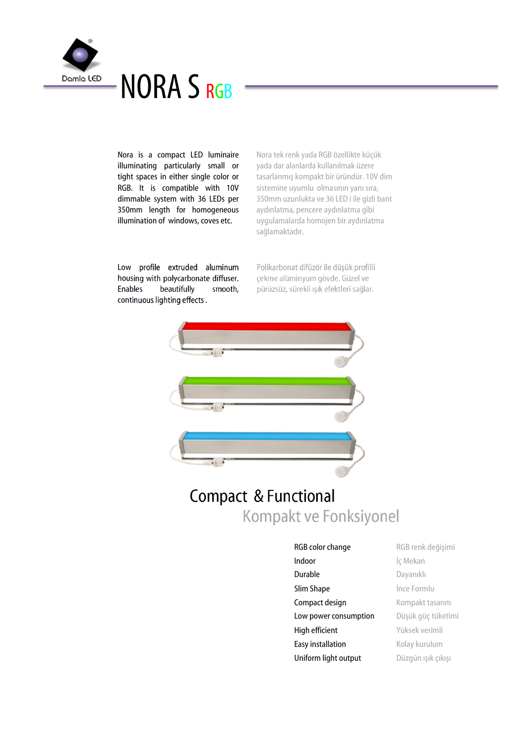

Nora is a compact LED luminaire illuminating particularly small or tight spaces in either single color or RGB. It is compatible with 10V dimmable system with 36 LEDs per 350mm length for homogeneous illumination of windows, coves etc.

Nora tek renk yada RGB özellikte küçük yada dar alanlarda kullanılmak üzere tasarlanmış kompakt bir üründür. 10V dim sistemine uyumlu olmasının yanı sıra, 350mm uzunlukta ve 36 LED i ile gizli bant aydınlatma, pencere aydınlatma gibi uygulamalarda homojen bir aydınlatma sağlamaktadır.

Low profile extruded aluminum housing with polycarbonate diffuser. Enables beautifully smooth, continuous lighting effects .

Polikarbonat difüzör ile düşük profilli çekme alüminyum gövde. Güzel ve pürüzsüz, sürekli ışık efektleri sağlar.



# Kompakt ve Fonksiyonel Compact & Functional

RGB color change RGB renk değişimi Indoor **i**ç Mekan Durable Dayanıklı **Slim Shape ince Formlu** Compact design Kompakt tasarım Low power consumption Düşük güç tüketimi High efficient Yüksek verimli Easy installation Kolay kurulum Uniform light output Düzgün ışık çıkışı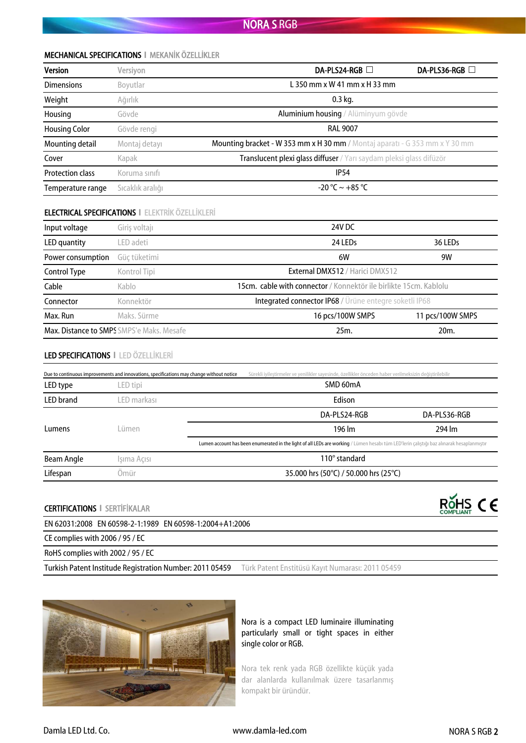## MECHANICAL SPECIFICATIONS **І** MEKANİK ÖZELLİKLER

| <b>Version</b>          | Versiyon         | DA-PLS24-RGB □                                                                     | DA-PLS36-RGB □ |
|-------------------------|------------------|------------------------------------------------------------------------------------|----------------|
| <b>Dimensions</b>       | Boyutlar         | L 350 mm $\times$ W 41 mm $\times$ H 33 mm                                         |                |
| Weight                  | Ağırlık          | $0.3$ kg.                                                                          |                |
| Housing                 | Gövde            | Aluminium housing / Alüminyum gövde                                                |                |
| <b>Housing Color</b>    | Gövde rengi      | <b>RAL 9007</b>                                                                    |                |
| Mounting detail         | Montaj detayı    | <b>Mounting bracket - W 353 mm x H 30 mm / Montaj aparati - G 353 mm x Y 30 mm</b> |                |
| Cover                   | Kapak            | Translucent plexi glass diffuser / Yarı saydam pleksi glass difüzör                |                |
| <b>Protection class</b> | Koruma sınıfı    | IP <sub>54</sub>                                                                   |                |
| Temperature range       | Sıcaklık aralığı | $-20$ °C ~ $+85$ °C                                                                |                |

## ELECTRICAL SPECIFICATIONS **І** ELEKTRİK ÖZELLİKLERİ

| Input voltage     | Giriş voltajı                                    | 24V DC                                                            |                     |
|-------------------|--------------------------------------------------|-------------------------------------------------------------------|---------------------|
| LED quantity      | LED adeti                                        | 24 LED <sub>S</sub>                                               | 36 LED <sub>S</sub> |
| Power consumption | Güç tüketimi                                     | 6W                                                                | 9W                  |
| Control Type      | Kontrol Tipi                                     | <b>External DMX512 / Harici DMX512</b>                            |                     |
| Cable             | Kablo                                            | 15cm. cable with connector / Konnektör ile birlikte 15cm. Kablolu |                     |
| Connector         | Konnektör                                        | Integrated connector IP68 / Ürüne entegre soketli IP68            |                     |
| Max. Run          | Maks. Sürme                                      | 16 pcs/100W SMPS                                                  | 11 pcs/100W SMPS    |
|                   | <b>Max. Distance to SMPS SMPS'e Maks. Mesafe</b> | 25m.                                                              | 20 <sub>m</sub>     |

## LED SPECIFICATIONS **І** LED ÖZELLİKLERİ

|                  | Due to continuous improvements and innovations, specifications may change without notice | Sürekli iyilestirmeler ve yenilikler sayesinde, özellikler önceden haber verilmeksizin değiştirilebilir                                   |                        |              |
|------------------|------------------------------------------------------------------------------------------|-------------------------------------------------------------------------------------------------------------------------------------------|------------------------|--------------|
| LED type         | LED tipi                                                                                 |                                                                                                                                           | SMD 60mA               |              |
| <b>LED</b> brand | LED markası                                                                              |                                                                                                                                           | Edison                 |              |
|                  |                                                                                          |                                                                                                                                           | DA-PLS24-RGB           | DA-PLS36-RGB |
| Lumens           | Lümen                                                                                    |                                                                                                                                           | 196 lm                 | 294 lm       |
|                  |                                                                                          | Lumen account has been enumerated in the light of all LEDs are working / Lümen hesabı tüm LED'lerin çalıştığı baz alınarak hesaplanmıştır |                        |              |
| Beam Angle       | Işıma Açısı                                                                              |                                                                                                                                           | $110^{\circ}$ standard |              |
| Lifespan         | .<br>Əmür                                                                                | 35.000 hrs (50°C) / 50.000 hrs (25°C)                                                                                                     |                        |              |

CERTIFICATIONS **І** SERTİFİKALAR

EN 62031:2008 EN 60598-2-1:1989 EN 60598-1:2004+A1:2006

CE complies with 2006 / 95 / EC

RoHS complies with 2002 / 95 / EC

Turkish Patent Institude Registration Number: 2011 05459 Türk Patent Enstitüsü Kayıt Numarası: 2011 05459



Nora is a compact LED luminaire illuminating particularly small or tight spaces in either single color or RGB.

Nora tek renk yada RGB özellikte küçük yada dar alanlarda kullanılmak üzere tasarlanmış kompakt bir üründür.

ROHS<sub>COMPLIANT</sub> CE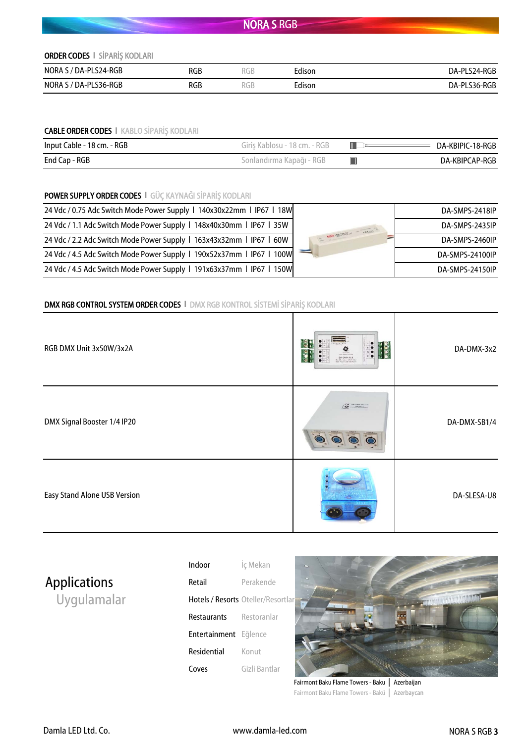## ORDER CODES **І** SİPARİŞ KODLARI

| NORA S / DA-PLS24-RGB | RGB | KGB        | Edison | DA-PLS24-RGB |
|-----------------------|-----|------------|--------|--------------|
| NORA S / DA-PLS36-RGB | RGB | ת ר<br>KGB | Edison | DA-PLS36-RGB |

## CABLE ORDER CODES **І** KABLO SİPARİŞ KODLARI

| Input Cable - 18 cm. - RGB | Giris Kablosu - 18 cm. - RGB | DA-KBIPIC-18-RGB |
|----------------------------|------------------------------|------------------|
| End Cap - RGB              | Sonlandırma Kapağı - RGB     | DA-KBIPCAP-RGB   |

# POWER SUPPLY ORDER CODES **І** GÜÇ KAYNAĞI SİPARİŞ KODLARI

| 24 Vdc / 0.75 Adc Switch Mode Power Supply   140x30x22mm   IP67   18W | DA-SMPS-2418IP  |
|-----------------------------------------------------------------------|-----------------|
| 24 Vdc / 1.1 Adc Switch Mode Power Supply 1 148x40x30mm 1 IP67 1 35W  | DA-SMPS-2435IP  |
| 24 Vdc / 2.2 Adc Switch Mode Power Supply 1 163x43x32mm 1 IP67 1 60W  | DA-SMPS-2460IP  |
| 24 Vdc / 4.5 Adc Switch Mode Power Supply   190x52x37mm   IP67   100W | DA-SMPS-24100IP |
| 24 Vdc / 4.5 Adc Switch Mode Power Supply   191x63x37mm   IP67   150W | DA-SMPS-24150IP |

# DMX RGB CONTROL SYSTEM ORDER CODES **І** DMX RGB KONTROL SİSTEMİ SİPARİŞ KODLARI

| RGB DMX Unit 3x50W/3x2A      | $\frac{1}{2}$<br>$rac{1}{2}$<br>$\bullet$<br>$\begin{array}{c}\n\circ & \bullet \\ \circ & \bullet\n\end{array}$<br><b>DA-DMX-RGB</b><br>3 x 2A max. / DMX 512<br>not even und diamete | DA-DMX-3x2   |
|------------------------------|----------------------------------------------------------------------------------------------------------------------------------------------------------------------------------------|--------------|
| DMX Signal Booster 1/4 IP20  | <b>MA-DARIK SIR-F/A</b><br>'S<br>$\bullet$                                                                                                                                             | DA-DMX-SB1/4 |
| Easy Stand Alone USB Version |                                                                                                                                                                                        | DA-SLESA-U8  |

# **Applications**

Uygulamalar

| Indoor                | Iç Mekan                          |
|-----------------------|-----------------------------------|
| Retail                | Perakende                         |
|                       | Hotels / Resorts Oteller/Resortla |
| Restaurants           | Restoranlar                       |
| Entertainment Eğlence |                                   |
| Residential           | Konut                             |
| Coves                 | Gizli Bantlar                     |



Fairmont Baku Flame Towers - Baku │ Azerbaijan Fairmont Baku Flame Towers - Bakü │ Azerbaycan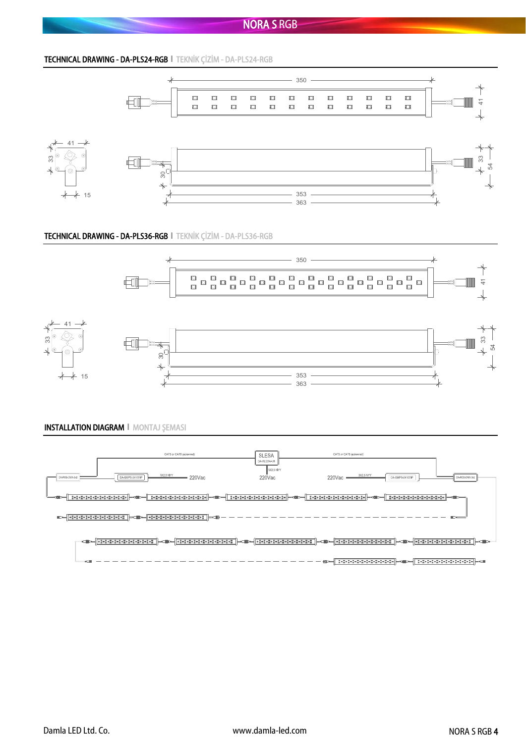TECHNICAL DRAWING - DA-PLS24-RGB **І** TEKNİK ÇİZİM - DA-PLS24-RGB



#### TECHNICAL DRAWING - DA-PLS36-RGB **І** TEKNİK ÇİZİM - DA-PLS36-RGB





## INSTALLATION DIAGRAM **І** MONTAJ ŞEMASI